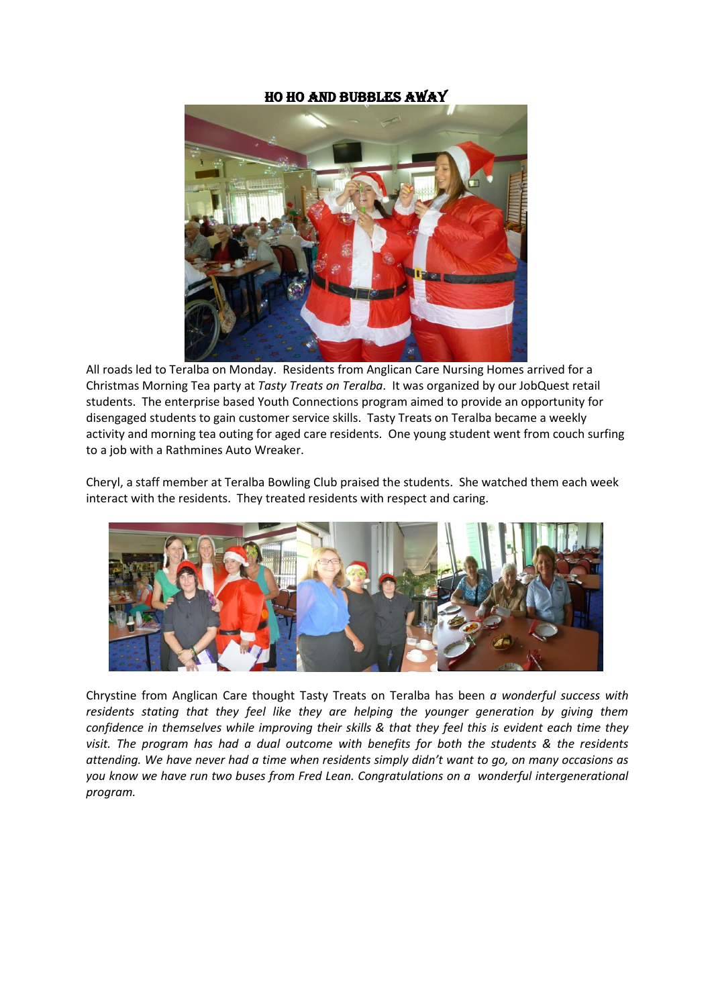## HO HO and Bubbles Away



All roads led to Teralba on Monday. Residents from Anglican Care Nursing Homes arrived for a Christmas Morning Tea party at *Tasty Treats on Teralba*. It was organized by our JobQuest retail students. The enterprise based Youth Connections program aimed to provide an opportunity for disengaged students to gain customer service skills. Tasty Treats on Teralba became a weekly activity and morning tea outing for aged care residents. One young student went from couch surfing to a job with a Rathmines Auto Wreaker.

Cheryl, a staff member at Teralba Bowling Club praised the students. She watched them each week interact with the residents. They treated residents with respect and caring.



Chrystine from Anglican Care thought Tasty Treats on Teralba has been *a wonderful success with residents stating that they feel like they are helping the younger generation by giving them confidence in themselves while improving their skills & that they feel this is evident each time they visit. The program has had a dual outcome with benefits for both the students & the residents attending. We have never had a time when residents simply didn't want to go, on many occasions as you know we have run two buses from Fred Lean. Congratulations on a wonderful intergenerational program.*